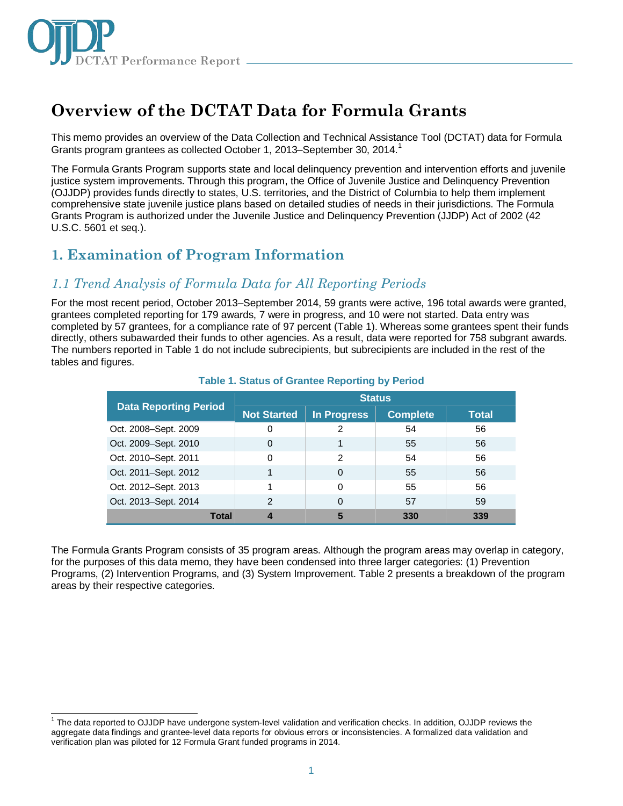

# **Overview of the DCTAT Data for Formula Grants**

This memo provides an overview of the Data Collection and Technical Assistance Tool (DCTAT) data for Formula Grants program grantees as collected October [1](#page-0-0), 2013–September 30, 2014.<sup>1</sup>

The Formula Grants Program supports state and local delinquency prevention and intervention efforts and juvenile justice system improvements. Through this program, the Office of Juvenile Justice and Delinquency Prevention (OJJDP) provides funds directly to states, U.S. territories, and the District of Columbia to help them implement comprehensive state juvenile justice plans based on detailed studies of needs in their jurisdictions. The Formula Grants Program is authorized under the Juvenile Justice and Delinquency Prevention (JJDP) Act of 2002 (42 U.S.C. 5601 et seq.).

### **1. Examination of Program Information**

### *1.1 Trend Analysis of Formula Data for All Reporting Periods*

For the most recent period, October 2013–September 2014, 59 grants were active, 196 total awards were granted, grantees completed reporting for 179 awards, 7 were in progress, and 10 were not started. Data entry was completed by 57 grantees, for a compliance rate of 97 percent (Table 1). Whereas some grantees spent their funds directly, others subawarded their funds to other agencies. As a result, data were reported for 758 subgrant awards. The numbers reported in Table 1 do not include subrecipients, but subrecipients are included in the rest of the tables and figures.

|                              | <b>Status</b>      |             |                 |              |  |
|------------------------------|--------------------|-------------|-----------------|--------------|--|
| <b>Data Reporting Period</b> | <b>Not Started</b> | In Progress | <b>Complete</b> | <b>Total</b> |  |
| Oct. 2008-Sept. 2009         | 0                  | 2           | 54              | 56           |  |
| Oct. 2009-Sept. 2010         | 0                  |             | 55              | 56           |  |
| Oct. 2010-Sept. 2011         | 0                  | 2           | 54              | 56           |  |
| Oct. 2011-Sept. 2012         |                    | $\Omega$    | 55              | 56           |  |
| Oct. 2012-Sept. 2013         |                    | $\Omega$    | 55              | 56           |  |
| Oct. 2013-Sept. 2014         | 2                  | 0           | 57              | 59           |  |
| Total                        |                    | 5           | 330             | 339          |  |

#### **Table 1. Status of Grantee Reporting by Period**

The Formula Grants Program consists of 35 program areas. Although the program areas may overlap in category, for the purposes of this data memo, they have been condensed into three larger categories: (1) Prevention Programs, (2) Intervention Programs, and (3) System Improvement. Table 2 presents a breakdown of the program areas by their respective categories.

<span id="page-0-0"></span> <sup>1</sup> The data reported to OJJDP have undergone system-level validation and verification checks. In addition, OJJDP reviews the aggregate data findings and grantee-level data reports for obvious errors or inconsistencies. A formalized data validation and verification plan was piloted for 12 Formula Grant funded programs in 2014.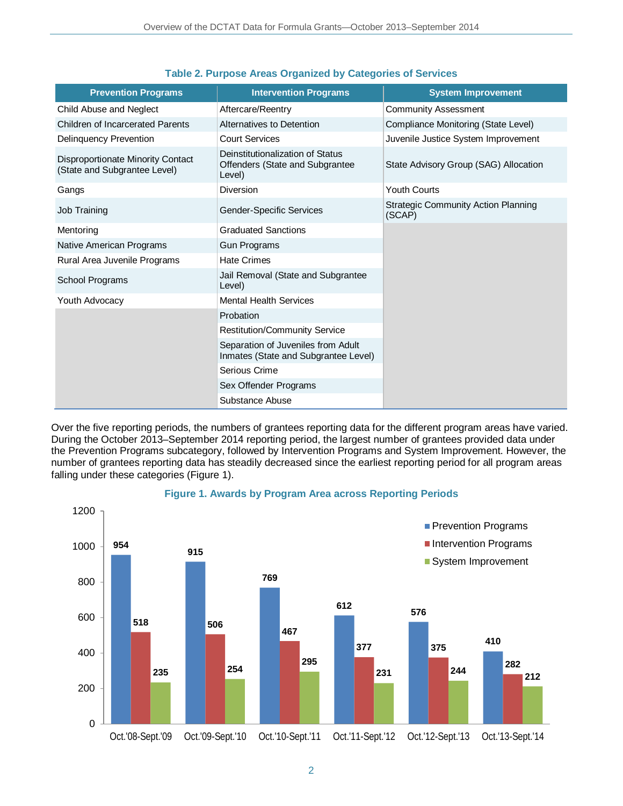| <b>Prevention Programs</b>                                               | <b>Intervention Programs</b>                                                  | <b>System Improvement</b>                            |
|--------------------------------------------------------------------------|-------------------------------------------------------------------------------|------------------------------------------------------|
| Child Abuse and Neglect                                                  | Aftercare/Reentry                                                             | <b>Community Assessment</b>                          |
| <b>Children of Incarcerated Parents</b>                                  | Alternatives to Detention                                                     | Compliance Monitoring (State Level)                  |
| <b>Delinquency Prevention</b>                                            | <b>Court Services</b>                                                         | Juvenile Justice System Improvement                  |
| <b>Disproportionate Minority Contact</b><br>(State and Subgrantee Level) | Deinstitutionalization of Status<br>Offenders (State and Subgrantee<br>Level) | State Advisory Group (SAG) Allocation                |
| Gangs                                                                    | Diversion                                                                     | <b>Youth Courts</b>                                  |
| Job Training                                                             | Gender-Specific Services                                                      | <b>Strategic Community Action Planning</b><br>(SCAP) |
| Mentoring                                                                | <b>Graduated Sanctions</b>                                                    |                                                      |
| Native American Programs                                                 | <b>Gun Programs</b>                                                           |                                                      |
| Rural Area Juvenile Programs                                             | <b>Hate Crimes</b>                                                            |                                                      |
| School Programs                                                          | Jail Removal (State and Subgrantee<br>Level)                                  |                                                      |
| Youth Advocacy                                                           | <b>Mental Health Services</b>                                                 |                                                      |
|                                                                          | Probation                                                                     |                                                      |
|                                                                          | <b>Restitution/Community Service</b>                                          |                                                      |
|                                                                          | Separation of Juveniles from Adult<br>Inmates (State and Subgrantee Level)    |                                                      |
|                                                                          | Serious Crime                                                                 |                                                      |
|                                                                          | Sex Offender Programs                                                         |                                                      |
|                                                                          | Substance Abuse                                                               |                                                      |

#### **Table 2. Purpose Areas Organized by Categories of Services**

Over the five reporting periods, the numbers of grantees reporting data for the different program areas have varied. During the October 2013–September 2014 reporting period, the largest number of grantees provided data under the Prevention Programs subcategory, followed by Intervention Programs and System Improvement. However, the number of grantees reporting data has steadily decreased since the earliest reporting period for all program areas falling under these categories (Figure 1).



#### **Figure 1. Awards by Program Area across Reporting Periods**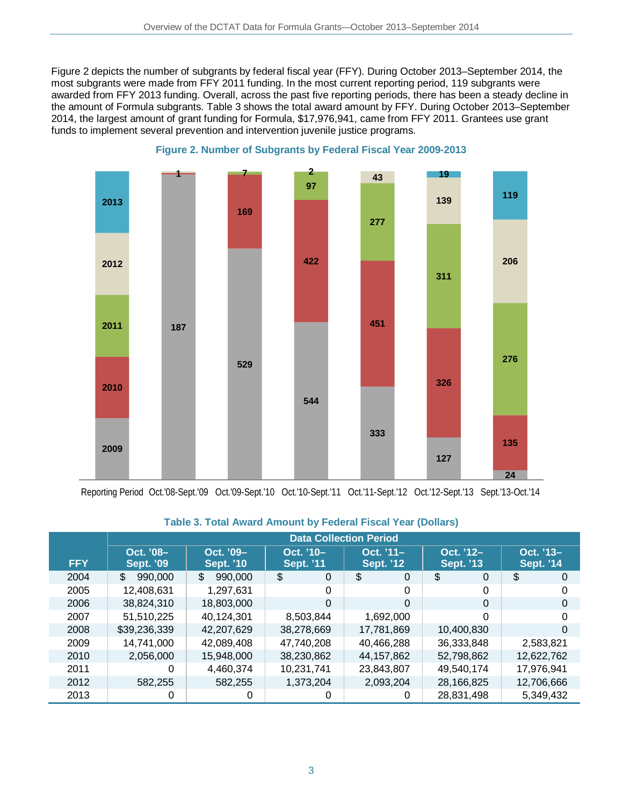Figure 2 depicts the number of subgrants by federal fiscal year (FFY). During October 2013–September 2014, the most subgrants were made from FFY 2011 funding. In the most current reporting period, 119 subgrants were awarded from FFY 2013 funding. Overall, across the past five reporting periods, there has been a steady decline in the amount of Formula subgrants. Table 3 shows the total award amount by FFY. During October 2013–September 2014, the largest amount of grant funding for Formula, \$17,976,941, came from FFY 2011. Grantees use grant funds to implement several prevention and intervention juvenile justice programs.





Reporting Period Oct.'08-Sept.'09 Oct.'09-Sept.'10 Oct.'10-Sept.'11 Oct.'11-Sept.'12 Oct.'12-Sept.'13 Sept.'13-Oct.'14

|            | <b>Data Collection Period</b> |                               |                                |                                |                               |                               |
|------------|-------------------------------|-------------------------------|--------------------------------|--------------------------------|-------------------------------|-------------------------------|
| <b>FFY</b> | Oct. '08-<br><b>Sept. '09</b> | Oct. '09-<br><b>Sept. '10</b> | Oct. '10-<br><b>Sept. '11'</b> | Oct. '11-<br><b>Sept. '12'</b> | Oct. '12-<br><b>Sept. '13</b> | Oct. '13-<br><b>Sept. '14</b> |
| 2004       | \$<br>990,000                 | \$<br>990,000                 | \$<br>$\Omega$                 | \$<br>0                        | \$<br>0                       | \$<br>$\Omega$                |
| 2005       | 12,408,631                    | 1,297,631                     | 0                              | 0                              | $\Omega$                      | 0                             |
| 2006       | 38,824,310                    | 18,803,000                    | $\Omega$                       | 0                              | $\Omega$                      | 0                             |
| 2007       | 51,510,225                    | 40,124,301                    | 8,503,844                      | 1,692,000                      | $\Omega$                      | 0                             |
| 2008       | \$39,236,339                  | 42,207,629                    | 38,278,669                     | 17,781,869                     | 10,400,830                    | 0                             |
| 2009       | 14,741,000                    | 42,089,408                    | 47.740.208                     | 40,466,288                     | 36,333,848                    | 2,583,821                     |
| 2010       | 2,056,000                     | 15,948,000                    | 38,230,862                     | 44, 157, 862                   | 52,798,862                    | 12,622,762                    |
| 2011       | 0                             | 4,460,374                     | 10,231,741                     | 23,843,807                     | 49,540,174                    | 17,976,941                    |
| 2012       | 582,255                       | 582,255                       | 1,373,204                      | 2,093,204                      | 28,166,825                    | 12,706,666                    |
| 2013       | 0                             | 0                             | Ω                              | 0                              | 28,831,498                    | 5,349,432                     |

#### **Table 3. Total Award Amount by Federal Fiscal Year (Dollars)**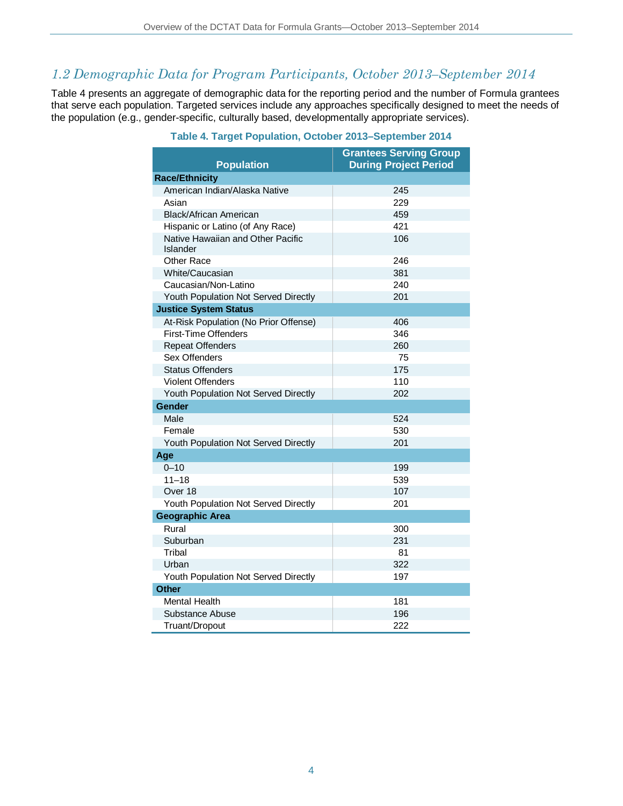### *1.2 Demographic Data for Program Participants, October 2013–September 2014*

Table 4 presents an aggregate of demographic data for the reporting period and the number of Formula grantees that serve each population. Targeted services include any approaches specifically designed to meet the needs of the population (e.g., gender-specific, culturally based, developmentally appropriate services).

| <b>Population</b>                             | <b>Grantees Serving Group</b><br><b>During Project Period</b> |
|-----------------------------------------------|---------------------------------------------------------------|
| <b>Race/Ethnicity</b>                         |                                                               |
| American Indian/Alaska Native                 | 245                                                           |
| Asian                                         | 229                                                           |
| <b>Black/African American</b>                 | 459                                                           |
| Hispanic or Latino (of Any Race)              | 421                                                           |
| Native Hawaiian and Other Pacific<br>Islander | 106                                                           |
| Other Race                                    | 246                                                           |
| White/Caucasian                               | 381                                                           |
| Caucasian/Non-Latino                          | 240                                                           |
| Youth Population Not Served Directly          | 201                                                           |
| <b>Justice System Status</b>                  |                                                               |
| At-Risk Population (No Prior Offense)         | 406                                                           |
| First-Time Offenders                          | 346                                                           |
| <b>Repeat Offenders</b>                       | 260                                                           |
| Sex Offenders                                 | 75                                                            |
| <b>Status Offenders</b>                       | 175                                                           |
| <b>Violent Offenders</b>                      | 110                                                           |
| Youth Population Not Served Directly          | 202                                                           |
| <b>Gender</b>                                 |                                                               |
| Male                                          | 524                                                           |
| Female                                        | 530                                                           |
| Youth Population Not Served Directly          | 201                                                           |
| Age                                           |                                                               |
| $0 - 10$                                      | 199                                                           |
| $11 - 18$                                     | 539                                                           |
| Over 18                                       | 107                                                           |
| Youth Population Not Served Directly          | 201                                                           |
| <b>Geographic Area</b>                        |                                                               |
| Rural                                         | 300                                                           |
| Suburban                                      | 231                                                           |
| Tribal                                        | 81                                                            |
| Urban                                         | 322                                                           |
| Youth Population Not Served Directly          | 197                                                           |
| <b>Other</b>                                  |                                                               |
| <b>Mental Health</b>                          | 181                                                           |
| Substance Abuse                               | 196                                                           |
| Truant/Dropout                                | 222                                                           |

#### **Table 4. Target Population, October 2013–September 2014**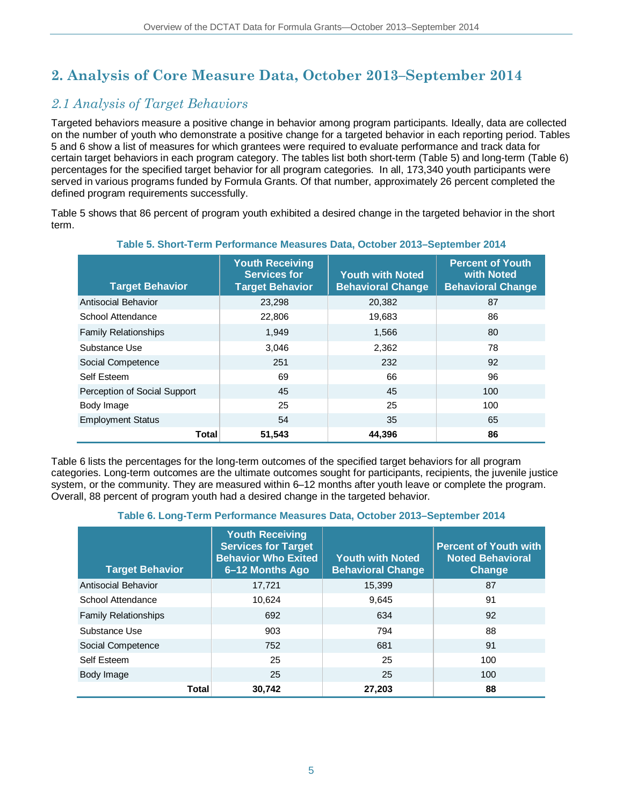# **2. Analysis of Core Measure Data, October 2013–September 2014**

### *2.1 Analysis of Target Behaviors*

Targeted behaviors measure a positive change in behavior among program participants. Ideally, data are collected on the number of youth who demonstrate a positive change for a targeted behavior in each reporting period. Tables 5 and 6 show a list of measures for which grantees were required to evaluate performance and track data for certain target behaviors in each program category. The tables list both short-term (Table 5) and long-term (Table 6) percentages for the specified target behavior for all program categories. In all, 173,340 youth participants were served in various programs funded by Formula Grants. Of that number, approximately 26 percent completed the defined program requirements successfully.

Table 5 shows that 86 percent of program youth exhibited a desired change in the targeted behavior in the short term.

| <b>Target Behavior</b>       | <b>Youth Receiving</b><br><b>Services for</b><br><b>Target Behavior</b> | <b>Youth with Noted</b><br><b>Behavioral Change</b> | <b>Percent of Youth</b><br>with Noted<br><b>Behavioral Change</b> |
|------------------------------|-------------------------------------------------------------------------|-----------------------------------------------------|-------------------------------------------------------------------|
| Antisocial Behavior          | 23,298                                                                  | 20,382                                              | 87                                                                |
| School Attendance            | 22,806                                                                  | 19,683                                              | 86                                                                |
| <b>Family Relationships</b>  | 1,949                                                                   | 1,566                                               | 80                                                                |
| Substance Use                | 3,046                                                                   | 2,362                                               | 78                                                                |
| Social Competence            | 251                                                                     | 232                                                 | 92                                                                |
| Self Esteem                  | 69                                                                      | 66                                                  | 96                                                                |
| Perception of Social Support | 45                                                                      | 45                                                  | 100                                                               |
| Body Image                   | 25                                                                      | 25                                                  | 100                                                               |
| <b>Employment Status</b>     | 54                                                                      | 35                                                  | 65                                                                |
| Total                        | 51,543                                                                  | 44.396                                              | 86                                                                |

#### **Table 5. Short-Term Performance Measures Data, October 2013–September 2014**

Table 6 lists the percentages for the long-term outcomes of the specified target behaviors for all program categories. Long-term outcomes are the ultimate outcomes sought for participants, recipients, the juvenile justice system, or the community. They are measured within 6–12 months after youth leave or complete the program. Overall, 88 percent of program youth had a desired change in the targeted behavior.

#### **Table 6. Long-Term Performance Measures Data, October 2013–September 2014**

| <b>Target Behavior</b>      | <b>Youth Receiving</b><br><b>Services for Target</b><br><b>Behavior Who Exited</b><br>6-12 Months Ago | <b>Youth with Noted</b><br><b>Behavioral Change</b> | <b>Percent of Youth with</b><br><b>Noted Behavioral</b><br><b>Change</b> |
|-----------------------------|-------------------------------------------------------------------------------------------------------|-----------------------------------------------------|--------------------------------------------------------------------------|
| Antisocial Behavior         | 17,721                                                                                                | 15,399                                              | 87                                                                       |
| School Attendance           | 10.624                                                                                                | 9.645                                               | 91                                                                       |
| <b>Family Relationships</b> | 692                                                                                                   | 634                                                 | 92                                                                       |
| Substance Use               | 903                                                                                                   | 794                                                 | 88                                                                       |
| Social Competence           | 752                                                                                                   | 681                                                 | 91                                                                       |
| Self Esteem                 | 25                                                                                                    | 25                                                  | 100                                                                      |
| Body Image                  | 25                                                                                                    | 25                                                  | 100                                                                      |
| <b>Total</b>                | 30.742                                                                                                | 27.203                                              | 88                                                                       |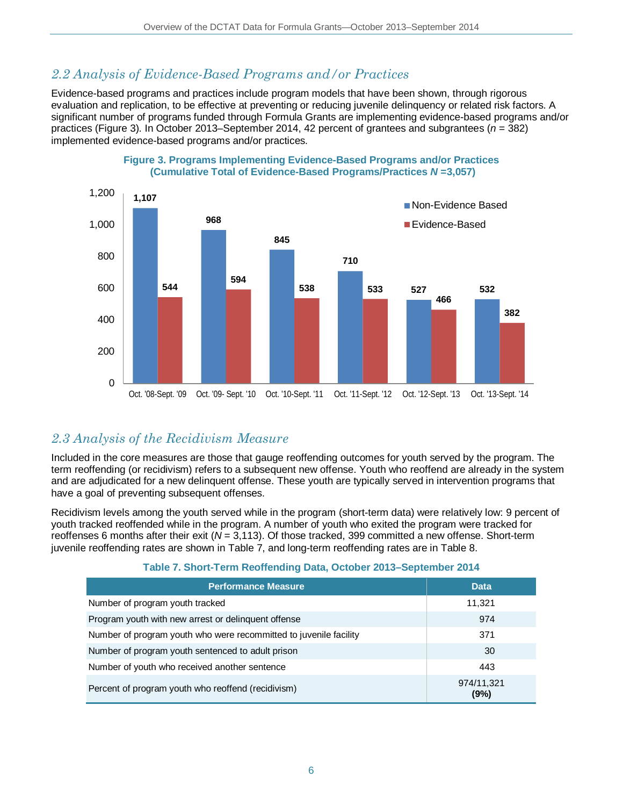### *2.2 Analysis of Evidence-Based Programs and/or Practices*

Evidence-based programs and practices include program models that have been shown, through rigorous evaluation and replication, to be effective at preventing or reducing juvenile delinquency or related risk factors. A significant number of programs funded through Formula Grants are implementing evidence-based programs and/or practices (Figure 3). In October 2013–September 2014, 42 percent of grantees and subgrantees (*n* = 382) implemented evidence-based programs and/or practices.



#### **Figure 3. Programs Implementing Evidence-Based Programs and/or Practices (Cumulative Total of Evidence-Based Programs/Practices** *N* **=3,057)**

### *2.3 Analysis of the Recidivism Measure*

Included in the core measures are those that gauge reoffending outcomes for youth served by the program. The term reoffending (or recidivism) refers to a subsequent new offense. Youth who reoffend are already in the system and are adjudicated for a new delinquent offense. These youth are typically served in intervention programs that have a goal of preventing subsequent offenses.

Recidivism levels among the youth served while in the program (short-term data) were relatively low: 9 percent of youth tracked reoffended while in the program. A number of youth who exited the program were tracked for reoffenses 6 months after their exit (*N* = 3,113). Of those tracked, 399 committed a new offense. Short-term juvenile reoffending rates are shown in Table 7, and long-term reoffending rates are in Table 8.

| <b>Performance Measure</b>                                        | <b>Data</b>        |
|-------------------------------------------------------------------|--------------------|
| Number of program youth tracked                                   | 11,321             |
| Program youth with new arrest or delinguent offense               | 974                |
| Number of program youth who were recommitted to juvenile facility | 371                |
| Number of program youth sentenced to adult prison                 | 30                 |
| Number of youth who received another sentence                     | 443                |
| Percent of program youth who reoffend (recidivism)                | 974/11,321<br>(9%) |

#### **Table 7. Short-Term Reoffending Data, October 2013–September 2014**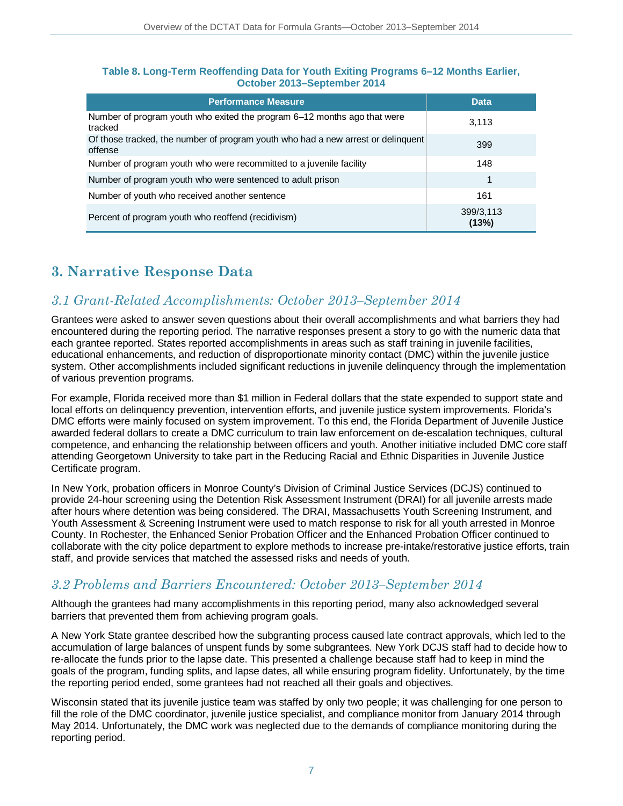#### **Table 8. Long-Term Reoffending Data for Youth Exiting Programs 6–12 Months Earlier, October 2013–September 2014**

| <b>Performance Measure</b>                                                                  | <b>Data</b>        |
|---------------------------------------------------------------------------------------------|--------------------|
| Number of program youth who exited the program 6–12 months ago that were<br>tracked         | 3,113              |
| Of those tracked, the number of program youth who had a new arrest or delinguent<br>offense | 399                |
| Number of program youth who were recommitted to a juvenile facility                         | 148                |
| Number of program youth who were sentenced to adult prison                                  | 1                  |
| Number of youth who received another sentence                                               | 161                |
| Percent of program youth who reoffend (recidivism)                                          | 399/3,113<br>(13%) |

## **3. Narrative Response Data**

### *3.1 Grant-Related Accomplishments: October 2013–September 2014*

Grantees were asked to answer seven questions about their overall accomplishments and what barriers they had encountered during the reporting period. The narrative responses present a story to go with the numeric data that each grantee reported. States reported accomplishments in areas such as staff training in juvenile facilities, educational enhancements, and reduction of disproportionate minority contact (DMC) within the juvenile justice system. Other accomplishments included significant reductions in juvenile delinquency through the implementation of various prevention programs.

For example, Florida received more than \$1 million in Federal dollars that the state expended to support state and local efforts on delinquency prevention, intervention efforts, and juvenile justice system improvements. Florida's DMC efforts were mainly focused on system improvement. To this end, the Florida Department of Juvenile Justice awarded federal dollars to create a DMC curriculum to train law enforcement on de-escalation techniques, cultural competence, and enhancing the relationship between officers and youth. Another initiative included DMC core staff attending Georgetown University to take part in the Reducing Racial and Ethnic Disparities in Juvenile Justice Certificate program.

In New York, probation officers in Monroe County's Division of Criminal Justice Services (DCJS) continued to provide 24-hour screening using the Detention Risk Assessment Instrument (DRAI) for all juvenile arrests made after hours where detention was being considered. The DRAI, Massachusetts Youth Screening Instrument, and Youth Assessment & Screening Instrument were used to match response to risk for all youth arrested in Monroe County. In Rochester, the Enhanced Senior Probation Officer and the Enhanced Probation Officer continued to collaborate with the city police department to explore methods to increase pre-intake/restorative justice efforts, train staff, and provide services that matched the assessed risks and needs of youth.

### *3.2 Problems and Barriers Encountered: October 2013–September 2014*

Although the grantees had many accomplishments in this reporting period, many also acknowledged several barriers that prevented them from achieving program goals.

A New York State grantee described how the subgranting process caused late contract approvals, which led to the accumulation of large balances of unspent funds by some subgrantees. New York DCJS staff had to decide how to re-allocate the funds prior to the lapse date. This presented a challenge because staff had to keep in mind the goals of the program, funding splits, and lapse dates, all while ensuring program fidelity. Unfortunately, by the time the reporting period ended, some grantees had not reached all their goals and objectives.

Wisconsin stated that its juvenile justice team was staffed by only two people; it was challenging for one person to fill the role of the DMC coordinator, juvenile justice specialist, and compliance monitor from January 2014 through May 2014. Unfortunately, the DMC work was neglected due to the demands of compliance monitoring during the reporting period.